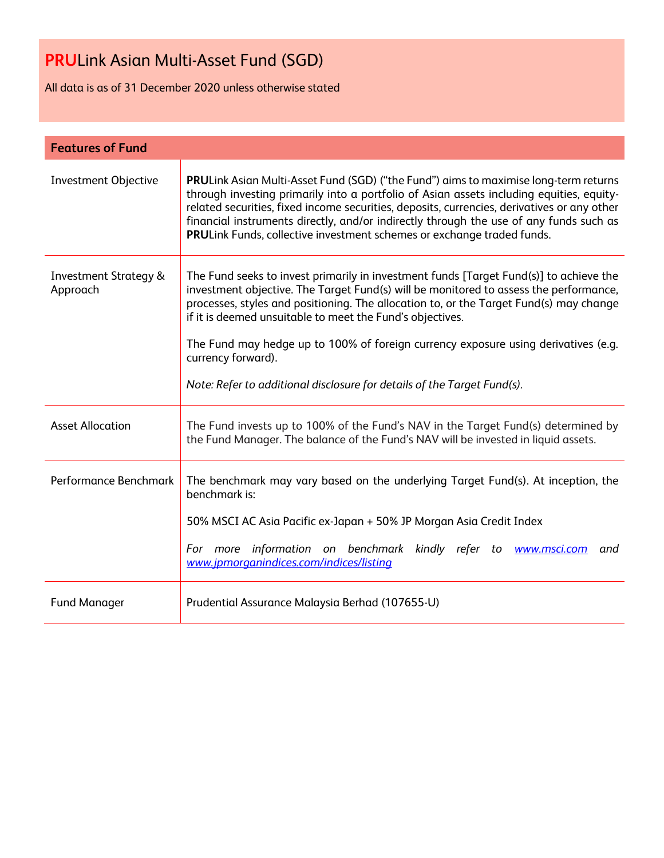All data is as of 31 December 2020 unless otherwise stated

| <b>Features of Fund</b>                      |                                                                                                                                                                                                                                                                                                                                                                                                                                                                                                                               |
|----------------------------------------------|-------------------------------------------------------------------------------------------------------------------------------------------------------------------------------------------------------------------------------------------------------------------------------------------------------------------------------------------------------------------------------------------------------------------------------------------------------------------------------------------------------------------------------|
| <b>Investment Objective</b>                  | PRULink Asian Multi-Asset Fund (SGD) ("the Fund") aims to maximise long-term returns<br>through investing primarily into a portfolio of Asian assets including equities, equity-<br>related securities, fixed income securities, deposits, currencies, derivatives or any other<br>financial instruments directly, and/or indirectly through the use of any funds such as<br>PRULink Funds, collective investment schemes or exchange traded funds.                                                                           |
| <b>Investment Strategy &amp;</b><br>Approach | The Fund seeks to invest primarily in investment funds [Target Fund(s)] to achieve the<br>investment objective. The Target Fund(s) will be monitored to assess the performance,<br>processes, styles and positioning. The allocation to, or the Target Fund(s) may change<br>if it is deemed unsuitable to meet the Fund's objectives.<br>The Fund may hedge up to 100% of foreign currency exposure using derivatives (e.g.<br>currency forward).<br>Note: Refer to additional disclosure for details of the Target Fund(s). |
| <b>Asset Allocation</b>                      | The Fund invests up to 100% of the Fund's NAV in the Target Fund(s) determined by<br>the Fund Manager. The balance of the Fund's NAV will be invested in liquid assets.                                                                                                                                                                                                                                                                                                                                                       |
| Performance Benchmark                        | The benchmark may vary based on the underlying Target Fund(s). At inception, the<br>benchmark is:<br>50% MSCI AC Asia Pacific ex-Japan + 50% JP Morgan Asia Credit Index<br>For more information on benchmark kindly refer to www.msci.com and<br>www.jpmorganindices.com/indices/listing                                                                                                                                                                                                                                     |
| <b>Fund Manager</b>                          | Prudential Assurance Malaysia Berhad (107655-U)                                                                                                                                                                                                                                                                                                                                                                                                                                                                               |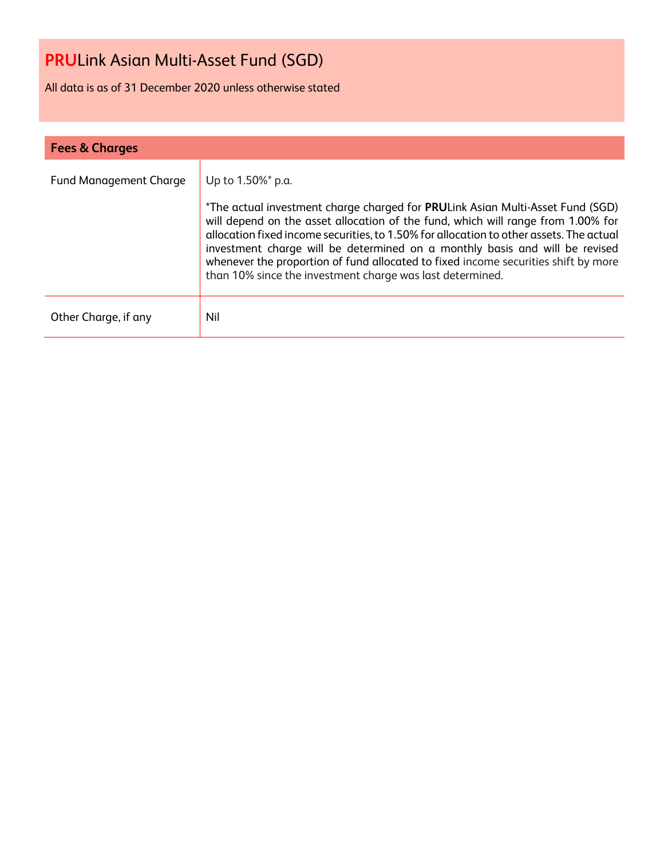All data is as of 31 December 2020 unless otherwise stated

| <b>Fees &amp; Charges</b>     |                                                                                                                                                                                                                                                                                                                                                                                                                                                                                                                      |
|-------------------------------|----------------------------------------------------------------------------------------------------------------------------------------------------------------------------------------------------------------------------------------------------------------------------------------------------------------------------------------------------------------------------------------------------------------------------------------------------------------------------------------------------------------------|
| <b>Fund Management Charge</b> | Up to 1.50%* p.a.<br>*The actual investment charge charged for PRULink Asian Multi-Asset Fund (SGD)<br>will depend on the asset allocation of the fund, which will range from 1.00% for<br>allocation fixed income securities, to 1.50% for allocation to other assets. The actual<br>investment charge will be determined on a monthly basis and will be revised<br>whenever the proportion of fund allocated to fixed income securities shift by more<br>than 10% since the investment charge was last determined. |
| Other Charge, if any          | Nil                                                                                                                                                                                                                                                                                                                                                                                                                                                                                                                  |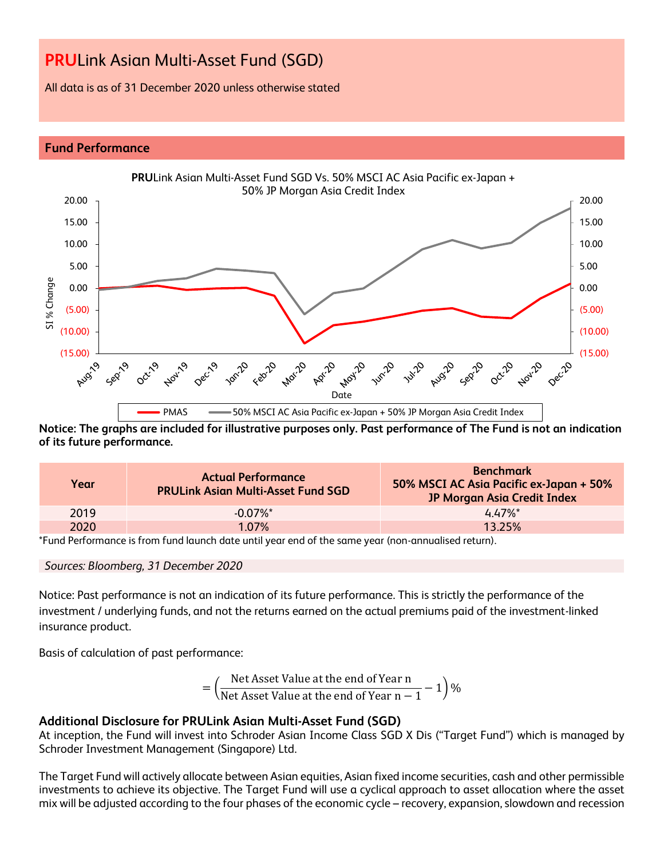All data is as of 31 December 2020 unless otherwise stated

#### **Fund Performance**



**Notice: The graphs are included for illustrative purposes only. Past performance of The Fund is not an indication of its future performance.**

| Year | <b>Actual Performance</b><br><b>PRULink Asian Multi-Asset Fund SGD</b> | <b>Benchmark</b><br>50% MSCI AC Asia Pacific ex-Japan + 50%<br>JP Morgan Asia Credit Index |
|------|------------------------------------------------------------------------|--------------------------------------------------------------------------------------------|
| 2019 | $-0.07\%$ <sup>*</sup>                                                 | $4.47\%$ *                                                                                 |
| 2020 | 1.07%                                                                  | 13.25%                                                                                     |

\*Fund Performance is from fund launch date until year end of the same year (non-annualised return).

#### *Sources: Bloomberg, 31 December 2020*

Notice: Past performance is not an indication of its future performance. This is strictly the performance of the investment / underlying funds, and not the returns earned on the actual premiums paid of the investment-linked insurance product.

Basis of calculation of past performance:

$$
= \left(\frac{\text{Net Asset Value at the end of Year n}}{\text{Net Asset Value at the end of Year n} - 1}\right)\%
$$

### **Additional Disclosure for PRULink Asian Multi-Asset Fund (SGD)**

At inception, the Fund will invest into Schroder Asian Income Class SGD X Dis ("Target Fund") which is managed by Schroder Investment Management (Singapore) Ltd.

The Target Fund will actively allocate between Asian equities, Asian fixed income securities, cash and other permissible investments to achieve its objective. The Target Fund will use a cyclical approach to asset allocation where the asset mix will be adjusted according to the four phases of the economic cycle – recovery, expansion, slowdown and recession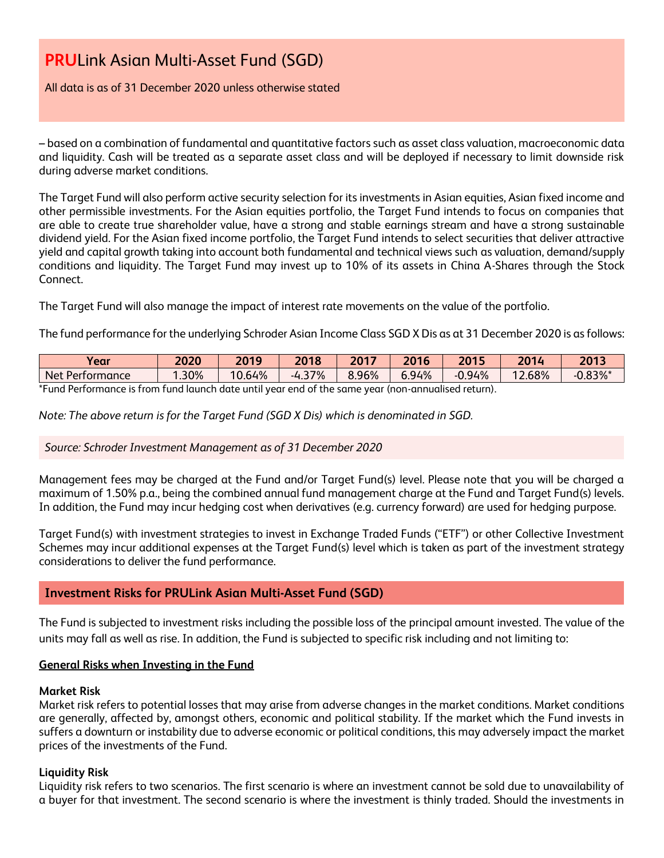#### All data is as of 31 December 2020 unless otherwise stated

– based on a combination of fundamental and quantitative factors such as asset class valuation, macroeconomic data and liquidity. Cash will be treated as a separate asset class and will be deployed if necessary to limit downside risk during adverse market conditions.

The Target Fund will also perform active security selection for its investments in Asian equities, Asian fixed income and other permissible investments. For the Asian equities portfolio, the Target Fund intends to focus on companies that are able to create true shareholder value, have a strong and stable earnings stream and have a strong sustainable dividend yield. For the Asian fixed income portfolio, the Target Fund intends to select securities that deliver attractive yield and capital growth taking into account both fundamental and technical views such as valuation, demand/supply conditions and liquidity. The Target Fund may invest up to 10% of its assets in China A-Shares through the Stock Connect.

The Target Fund will also manage the impact of interest rate movements on the value of the portfolio.

The fund performance for the underlying Schroder Asian Income Class SGD X Dis as at 31 December 2020 is as follows:

| Year                                                                                               | 2020      | 2019   | 2018          | $2017$<br>ZU. | 2016  | 2015     | 2014 | 2013       |
|----------------------------------------------------------------------------------------------------|-----------|--------|---------------|---------------|-------|----------|------|------------|
| Net Performance                                                                                    | .30%<br>◢ | 10.64% | 37%<br>$-4.5$ | 8.96%         | 6.94% | $-0.94%$ | .68% | $-0.83%$ * |
| *Eund Derformance is from fund launch data until year and of the same year (non-annualised return) |           |        |               |               |       |          |      |            |

\*Fund Performance is from fund launch date until year end of the same year (non-annualised return).

*Note: The above return is for the Target Fund (SGD X Dis) which is denominated in SGD.*

### *Source: Schroder Investment Management as of 31 December 2020*

Management fees may be charged at the Fund and/or Target Fund(s) level. Please note that you will be charged a maximum of 1.50% p.a., being the combined annual fund management charge at the Fund and Target Fund(s) levels. In addition, the Fund may incur hedging cost when derivatives (e.g. currency forward) are used for hedging purpose.

Target Fund(s) with investment strategies to invest in Exchange Traded Funds ("ETF") or other Collective Investment Schemes may incur additional expenses at the Target Fund(s) level which is taken as part of the investment strategy considerations to deliver the fund performance.

### **Investment Risks for PRULink Asian Multi-Asset Fund (SGD)**

The Fund is subjected to investment risks including the possible loss of the principal amount invested. The value of the units may fall as well as rise. In addition, the Fund is subjected to specific risk including and not limiting to:

### **General Risks when Investing in the Fund**

#### **Market Risk**

Market risk refers to potential losses that may arise from adverse changes in the market conditions. Market conditions are generally, affected by, amongst others, economic and political stability. If the market which the Fund invests in suffers a downturn or instability due to adverse economic or political conditions, this may adversely impact the market prices of the investments of the Fund.

#### **Liquidity Risk**

Liquidity risk refers to two scenarios. The first scenario is where an investment cannot be sold due to unavailability of a buyer for that investment. The second scenario is where the investment is thinly traded. Should the investments in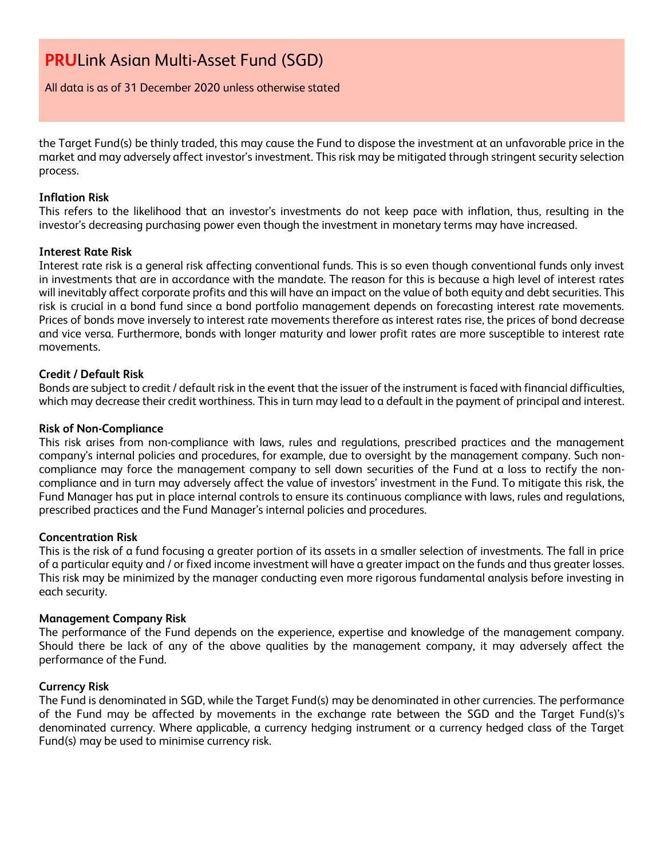All data is as of 31 December 2020 unless otherwise stated

the Target Fund(s) be thinly traded, this may cause the Fund to dispose the investment at an unfavorable price in the market and may adversely affect investor's investment. This risk may be mitigated through stringent security selection process.

#### **Inflation Risk**

This refers to the likelihood that an investor's investments do not keep pace with inflation, thus, resulting in the investor's decreasing purchasing power even though the investment in monetary terms may have increased.

#### **Interest Rate Risk**

Interest rate risk is a general risk affecting conventional funds. This is so even though conventional funds only invest in investments that are in accordance with the mandate. The reason for this is because a high level of interest rates will inevitably affect corporate profits and this will have an impact on the value of both equity and debt securities. This risk is crucial in a bond fund since a bond portfolio management depends on forecasting interest rate movements. Prices of bonds move inversely to interest rate movements therefore as interest rates rise, the prices of bond decrease and vice versa. Furthermore, bonds with longer maturity and lower profit rates are more susceptible to interest rate movements.

#### **Credit / Default Risk**

Bonds are subject to credit / default risk in the event that the issuer of the instrument is faced with financial difficulties, which may decrease their credit worthiness. This in turn may lead to a default in the payment of principal and interest.

#### **Risk of Non-Compliance**

This risk arises from non-compliance with laws, rules and regulations, prescribed practices and the management company's internal policies and procedures, for example, due to oversight by the management company. Such noncompliance may force the management company to sell down securities of the Fund at a loss to rectify the noncompliance and in turn may adversely affect the value of investors' investment in the Fund. To mitigate this risk, the Fund Manager has put in place internal controls to ensure its continuous compliance with laws, rules and regulations, prescribed practices and the Fund Manager's internal policies and procedures.

#### **Concentration Risk**

This is the risk of a fund focusing a greater portion of its assets in a smaller selection of investments. The fall in price of a particular equity and / or fixed income investment will have a greater impact on the funds and thus greater losses. This risk may be minimized by the manager conducting even more rigorous fundamental analysis before investing in each security.

#### **Management Company Risk**

The performance of the Fund depends on the experience, expertise and knowledge of the management company. Should there be lack of any of the above qualities by the management company, it may adversely affect the performance of the Fund.

#### **Currency Risk**

The Fund is denominated in SGD, while the Target Fund(s) may be denominated in other currencies. The performance of the Fund may be affected by movements in the exchange rate between the SGD and the Target Fund(s)'s denominated currency. Where applicable, a currency hedging instrument or a currency hedged class of the Target Fund(s) may be used to minimise currency risk.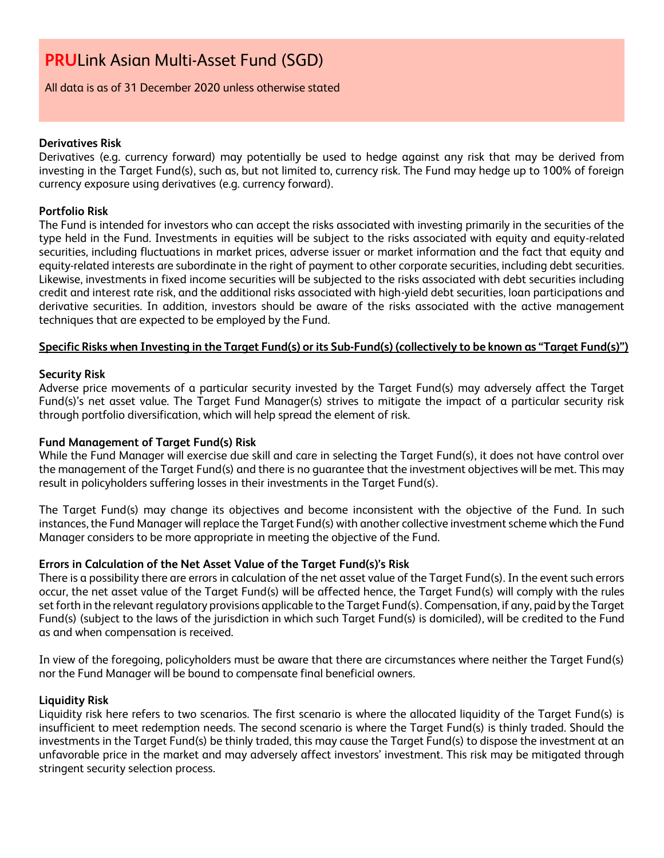All data is as of 31 December 2020 unless otherwise stated

#### **Derivatives Risk**

Derivatives (e.g. currency forward) may potentially be used to hedge against any risk that may be derived from investing in the Target Fund(s), such as, but not limited to, currency risk. The Fund may hedge up to 100% of foreign currency exposure using derivatives (e.g. currency forward).

#### **Portfolio Risk**

The Fund is intended for investors who can accept the risks associated with investing primarily in the securities of the type held in the Fund. Investments in equities will be subject to the risks associated with equity and equity-related securities, including fluctuations in market prices, adverse issuer or market information and the fact that equity and equity-related interests are subordinate in the right of payment to other corporate securities, including debt securities. Likewise, investments in fixed income securities will be subjected to the risks associated with debt securities including credit and interest rate risk, and the additional risks associated with high-yield debt securities, loan participations and derivative securities. In addition, investors should be aware of the risks associated with the active management techniques that are expected to be employed by the Fund.

#### **Specific Risks when Investing in the Target Fund(s) or its Sub-Fund(s) (collectively to be known as "Target Fund(s)")**

#### **Security Risk**

Adverse price movements of a particular security invested by the Target Fund(s) may adversely affect the Target Fund(s)'s net asset value. The Target Fund Manager(s) strives to mitigate the impact of a particular security risk through portfolio diversification, which will help spread the element of risk.

#### **Fund Management of Target Fund(s) Risk**

While the Fund Manager will exercise due skill and care in selecting the Target Fund(s), it does not have control over the management of the Target Fund(s) and there is no guarantee that the investment objectives will be met. This may result in policyholders suffering losses in their investments in the Target Fund(s).

The Target Fund(s) may change its objectives and become inconsistent with the objective of the Fund. In such instances, the Fund Manager will replace the Target Fund(s) with another collective investment scheme which the Fund Manager considers to be more appropriate in meeting the objective of the Fund.

#### **Errors in Calculation of the Net Asset Value of the Target Fund(s)'s Risk**

There is a possibility there are errors in calculation of the net asset value of the Target Fund(s). In the event such errors occur, the net asset value of the Target Fund(s) will be affected hence, the Target Fund(s) will comply with the rules set forth in the relevant regulatory provisions applicable to the Target Fund(s). Compensation, if any, paid by the Target Fund(s) (subject to the laws of the jurisdiction in which such Target Fund(s) is domiciled), will be credited to the Fund as and when compensation is received.

In view of the foregoing, policyholders must be aware that there are circumstances where neither the Target Fund(s) nor the Fund Manager will be bound to compensate final beneficial owners.

#### **Liquidity Risk**

Liquidity risk here refers to two scenarios. The first scenario is where the allocated liquidity of the Target Fund(s) is insufficient to meet redemption needs. The second scenario is where the Target Fund(s) is thinly traded. Should the investments in the Target Fund(s) be thinly traded, this may cause the Target Fund(s) to dispose the investment at an unfavorable price in the market and may adversely affect investors' investment. This risk may be mitigated through stringent security selection process.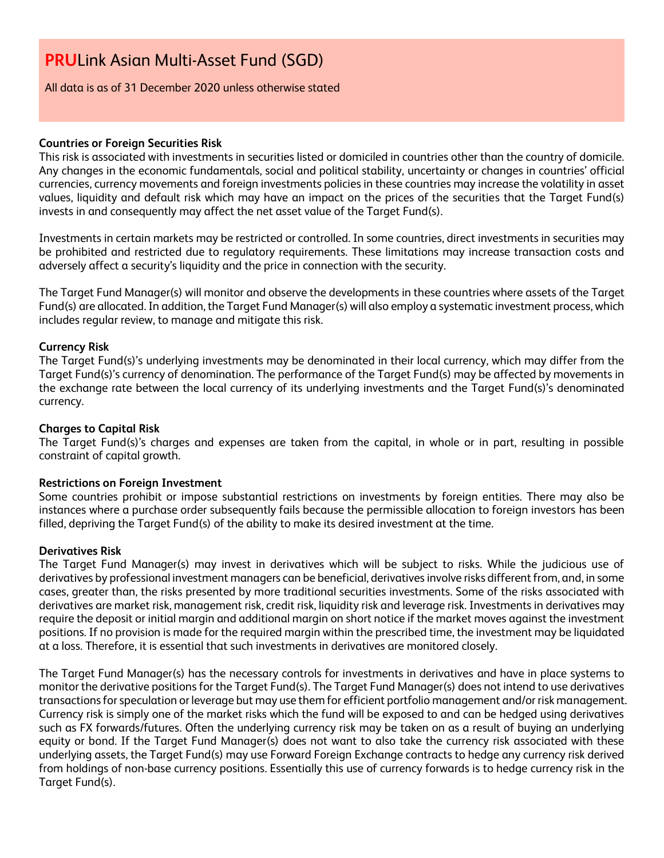All data is as of 31 December 2020 unless otherwise stated

#### **Countries or Foreign Securities Risk**

This risk is associated with investments in securities listed or domiciled in countries other than the country of domicile. Any changes in the economic fundamentals, social and political stability, uncertainty or changes in countries' official currencies, currency movements and foreign investments policies in these countries may increase the volatility in asset values, liquidity and default risk which may have an impact on the prices of the securities that the Target Fund(s) invests in and consequently may affect the net asset value of the Target Fund(s).

Investments in certain markets may be restricted or controlled. In some countries, direct investments in securities may be prohibited and restricted due to regulatory requirements. These limitations may increase transaction costs and adversely affect a security's liquidity and the price in connection with the security.

The Target Fund Manager(s) will monitor and observe the developments in these countries where assets of the Target Fund(s) are allocated. In addition, the Target Fund Manager(s) will also employ a systematic investment process, which includes regular review, to manage and mitigate this risk.

#### **Currency Risk**

The Target Fund(s)'s underlying investments may be denominated in their local currency, which may differ from the Target Fund(s)'s currency of denomination. The performance of the Target Fund(s) may be affected by movements in the exchange rate between the local currency of its underlying investments and the Target Fund(s)'s denominated currency.

#### **Charges to Capital Risk**

The Target Fund(s)'s charges and expenses are taken from the capital, in whole or in part, resulting in possible constraint of capital growth.

#### **Restrictions on Foreign Investment**

Some countries prohibit or impose substantial restrictions on investments by foreign entities. There may also be instances where a purchase order subsequently fails because the permissible allocation to foreign investors has been filled, depriving the Target Fund(s) of the ability to make its desired investment at the time.

#### **Derivatives Risk**

The Target Fund Manager(s) may invest in derivatives which will be subject to risks. While the judicious use of derivatives by professional investment managers can be beneficial, derivatives involve risks different from, and, in some cases, greater than, the risks presented by more traditional securities investments. Some of the risks associated with derivatives are market risk, management risk, credit risk, liquidity risk and leverage risk. Investments in derivatives may require the deposit or initial margin and additional margin on short notice if the market moves against the investment positions. If no provision is made for the required margin within the prescribed time, the investment may be liquidated at a loss. Therefore, it is essential that such investments in derivatives are monitored closely.

The Target Fund Manager(s) has the necessary controls for investments in derivatives and have in place systems to monitor the derivative positions for the Target Fund(s). The Target Fund Manager(s) does not intend to use derivatives transactions for speculation or leverage but may use them for efficient portfolio management and/or risk management. Currency risk is simply one of the market risks which the fund will be exposed to and can be hedged using derivatives such as FX forwards/futures. Often the underlying currency risk may be taken on as a result of buying an underlying equity or bond. If the Target Fund Manager(s) does not want to also take the currency risk associated with these underlying assets, the Target Fund(s) may use Forward Foreign Exchange contracts to hedge any currency risk derived from holdings of non-base currency positions. Essentially this use of currency forwards is to hedge currency risk in the Target Fund(s).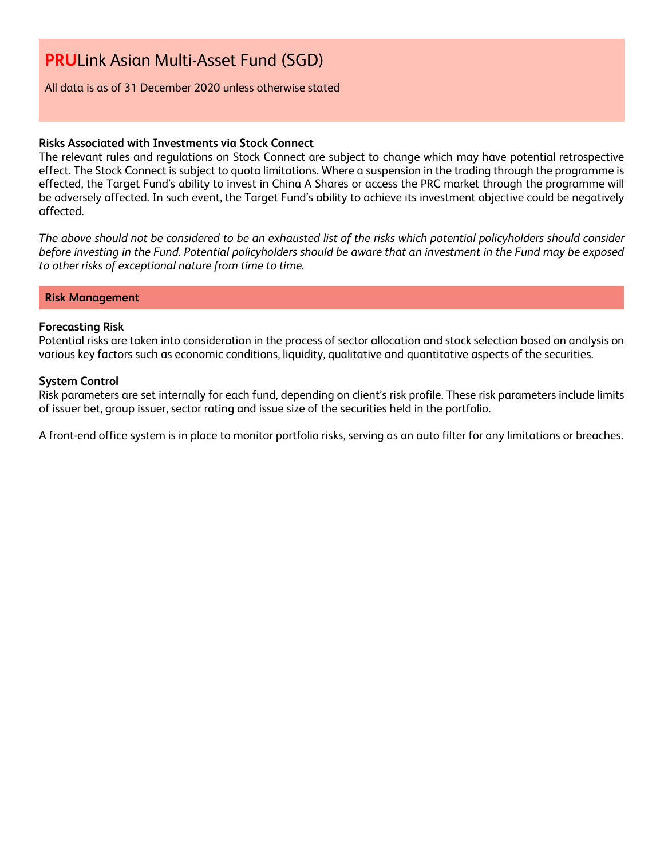All data is as of 31 December 2020 unless otherwise stated

#### **Risks Associated with Investments via Stock Connect**

The relevant rules and regulations on Stock Connect are subject to change which may have potential retrospective effect. The Stock Connect is subject to quota limitations. Where a suspension in the trading through the programme is effected, the Target Fund's ability to invest in China A Shares or access the PRC market through the programme will be adversely affected. In such event, the Target Fund's ability to achieve its investment objective could be negatively affected.

*The above should not be considered to be an exhausted list of the risks which potential policyholders should consider before investing in the Fund. Potential policyholders should be aware that an investment in the Fund may be exposed to other risks of exceptional nature from time to time.*

#### **Risk Management**

#### **Forecasting Risk**

Potential risks are taken into consideration in the process of sector allocation and stock selection based on analysis on various key factors such as economic conditions, liquidity, qualitative and quantitative aspects of the securities.

#### **System Control**

Risk parameters are set internally for each fund, depending on client's risk profile. These risk parameters include limits of issuer bet, group issuer, sector rating and issue size of the securities held in the portfolio.

A front-end office system is in place to monitor portfolio risks, serving as an auto filter for any limitations or breaches.